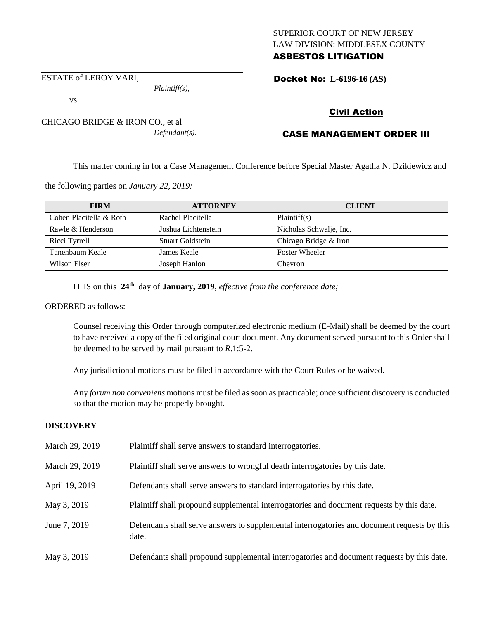## SUPERIOR COURT OF NEW JERSEY LAW DIVISION: MIDDLESEX COUNTY ASBESTOS LITIGATION

Docket No: **L-6196-16 (AS)** 

ESTATE of LEROY VARI,

vs.

*Plaintiff(s),*

*Defendant(s).*

Civil Action

## CASE MANAGEMENT ORDER III

This matter coming in for a Case Management Conference before Special Master Agatha N. Dzikiewicz and

the following parties on *January 22, 2019:*

CHICAGO BRIDGE & IRON CO., et al

| <b>FIRM</b>             | <b>ATTORNEY</b>     | <b>CLIENT</b>           |
|-------------------------|---------------------|-------------------------|
| Cohen Placitella & Roth | Rachel Placitella   | Plaintiff(s)            |
| Rawle & Henderson       | Joshua Lichtenstein | Nicholas Schwalje, Inc. |
| Ricci Tyrrell           | Stuart Goldstein    | Chicago Bridge & Iron   |
| Tanenbaum Keale         | James Keale         | <b>Foster Wheeler</b>   |
| Wilson Elser            | Joseph Hanlon       | <b>Chevron</b>          |

IT IS on this **24th** day of **January, 2019**, *effective from the conference date;*

ORDERED as follows:

Counsel receiving this Order through computerized electronic medium (E-Mail) shall be deemed by the court to have received a copy of the filed original court document. Any document served pursuant to this Order shall be deemed to be served by mail pursuant to *R*.1:5-2.

Any jurisdictional motions must be filed in accordance with the Court Rules or be waived.

Any *forum non conveniens* motions must be filed as soon as practicable; once sufficient discovery is conducted so that the motion may be properly brought.

## **DISCOVERY**

| March 29, 2019 | Plaintiff shall serve answers to standard interrogatories.                                            |
|----------------|-------------------------------------------------------------------------------------------------------|
| March 29, 2019 | Plaintiff shall serve answers to wrongful death interrogatories by this date.                         |
| April 19, 2019 | Defendants shall serve answers to standard interrogatories by this date.                              |
| May 3, 2019    | Plaintiff shall propound supplemental interrogatories and document requests by this date.             |
| June 7, 2019   | Defendants shall serve answers to supplemental interrogatories and document requests by this<br>date. |
| May 3, 2019    | Defendants shall propound supplemental interrogatories and document requests by this date.            |